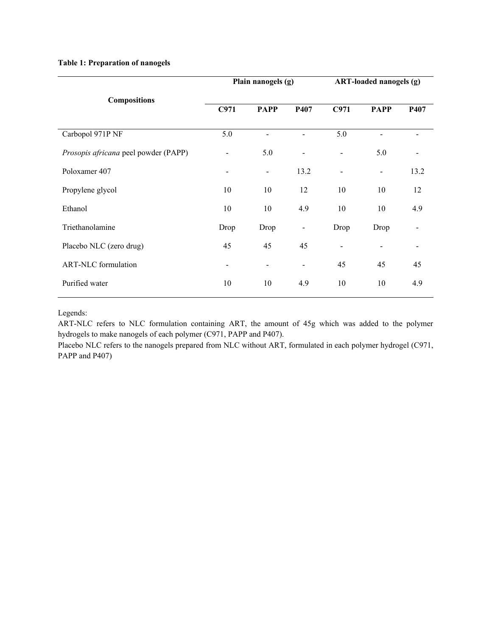## **Table 1: Preparation of nanogels**

|                                      | Plain nanogels (g)       |                          | ART-loaded nanogels (g)      |                              |                          |                          |
|--------------------------------------|--------------------------|--------------------------|------------------------------|------------------------------|--------------------------|--------------------------|
| <b>Compositions</b>                  | C971                     | <b>PAPP</b>              | P407                         | C971                         | <b>PAPP</b>              | P407                     |
| Carbopol 971P NF                     | 5.0                      |                          |                              | 5.0                          |                          |                          |
| Prosopis africana peel powder (PAPP) | $\overline{\phantom{a}}$ | 5.0                      |                              | $\overline{\phantom{a}}$     | 5.0                      |                          |
| Poloxamer 407                        | $\overline{\phantom{0}}$ | $\overline{\phantom{a}}$ | 13.2                         | $\qquad \qquad \blacksquare$ | $\overline{\phantom{a}}$ | 13.2                     |
| Propylene glycol                     | 10                       | 10                       | 12                           | 10                           | 10                       | 12                       |
| Ethanol                              | 10                       | 10                       | 4.9                          | 10                           | 10                       | 4.9                      |
| Triethanolamine                      | Drop                     | Drop                     | $\qquad \qquad \blacksquare$ | Drop                         | Drop                     | $\overline{\phantom{a}}$ |
| Placebo NLC (zero drug)              | 45                       | 45                       | 45                           | $\overline{\phantom{a}}$     |                          |                          |
| <b>ART-NLC</b> formulation           | $\overline{\phantom{a}}$ | $\overline{\phantom{a}}$ |                              | 45                           | 45                       | 45                       |
| Purified water                       | 10                       | 10                       | 4.9                          | 10                           | 10                       | 4.9                      |

Legends:

ART-NLC refers to NLC formulation containing ART, the amount of 45g which was added to the polymer hydrogels to make nanogels of each polymer (C971, PAPP and P407).

Placebo NLC refers to the nanogels prepared from NLC without ART, formulated in each polymer hydrogel (C971, PAPP and P407)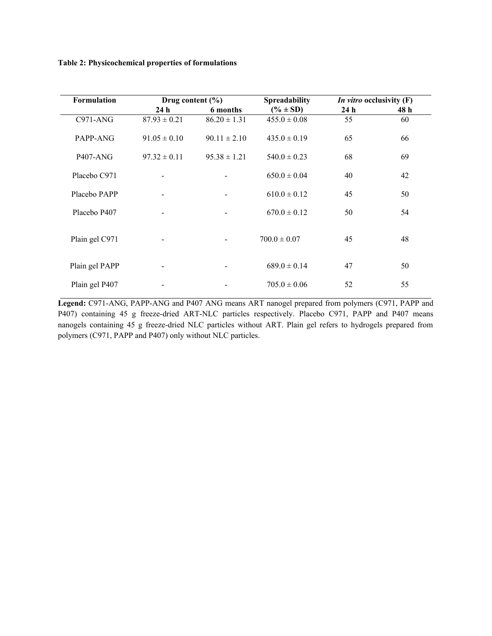**Table 2: Physicochemical properties of formulations**

| <b>Formulation</b> | Drug content $(\% )$     |                          | <b>Spreadability</b> | <i>In vitro</i> occlusivity (F) |      |
|--------------------|--------------------------|--------------------------|----------------------|---------------------------------|------|
|                    | 24h                      | 6 months                 | $(\% \pm SD)$        | 24h                             | 48 h |
| $C971-ANG$         | $87.93 \pm 0.21$         | $86.20 \pm 1.31$         | $455.0 \pm 0.08$     | 55                              | 60   |
| PAPP-ANG           | $91.05 \pm 0.10$         | $90.11 \pm 2.10$         | $435.0 \pm 0.19$     | 65                              | 66   |
| <b>P407-ANG</b>    | $97.32 \pm 0.11$         | $95.38 \pm 1.21$         | $540.0 \pm 0.23$     | 68                              | 69   |
| Placebo C971       |                          |                          | $650.0 \pm 0.04$     | 40                              | 42   |
| Placebo PAPP       | $\overline{\phantom{0}}$ | $\overline{\phantom{a}}$ | $610.0 \pm 0.12$     | 45                              | 50   |
| Placebo P407       |                          |                          | $670.0 \pm 0.12$     | 50                              | 54   |
| Plain gel C971     |                          |                          | $700.0 \pm 0.07$     | 45                              | 48   |
| Plain gel PAPP     |                          |                          | $689.0 \pm 0.14$     | 47                              | 50   |
| Plain gel P407     |                          |                          | $705.0 \pm 0.06$     | 52                              | 55   |

**Legend:** C971-ANG, PAPP-ANG and P407 ANG means ART nanogel prepared from polymers (C971, PAPP and P407) containing 45 g freeze-dried ART-NLC particles respectively. Placebo C971, PAPP and P407 means nanogels containing 45 g freeze-dried NLC particles without ART. Plain gel refers to hydrogels prepared from polymers (C971, PAPP and P407) only without NLC particles.